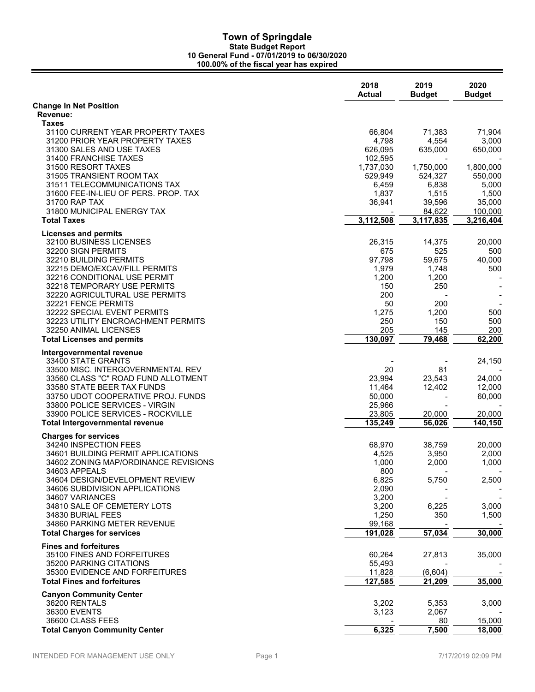|                                                                  | 2018<br><b>Actual</b> | 2019<br><b>Budget</b> | 2020<br><b>Budget</b> |
|------------------------------------------------------------------|-----------------------|-----------------------|-----------------------|
| <b>Change In Net Position</b>                                    |                       |                       |                       |
| Revenue:                                                         |                       |                       |                       |
| <b>Taxes</b>                                                     |                       |                       |                       |
| 31100 CURRENT YEAR PROPERTY TAXES                                | 66,804                | 71,383                | 71,904                |
| 31200 PRIOR YEAR PROPERTY TAXES                                  | 4,798                 | 4,554                 | 3,000                 |
| 31300 SALES AND USE TAXES                                        | 626,095               | 635,000               | 650,000               |
| 31400 FRANCHISE TAXES<br>31500 RESORT TAXES                      | 102,595<br>1,737,030  | 1,750,000             | 1,800,000             |
| 31505 TRANSIENT ROOM TAX                                         | 529,949               | 524,327               | 550,000               |
| 31511 TELECOMMUNICATIONS TAX                                     | 6,459                 | 6,838                 | 5,000                 |
| 31600 FEE-IN-LIEU OF PERS, PROP, TAX                             | 1,837                 | 1,515                 | 1,500                 |
| 31700 RAP TAX                                                    | 36,941                | 39,596                | 35,000                |
| 31800 MUNICIPAL ENERGY TAX                                       |                       | 84,622                | 100,000               |
| <b>Total Taxes</b>                                               | 3,112,508             | 3,117,835             | 3,216,404             |
| <b>Licenses and permits</b>                                      |                       |                       |                       |
| 32100 BUSINESS LICENSES                                          | 26,315                | 14,375                | 20,000                |
| 32200 SIGN PERMITS                                               | 675                   | 525                   | 500                   |
| 32210 BUILDING PERMITS                                           | 97,798                | 59,675                | 40,000                |
| 32215 DEMO/EXCAV/FILL PERMITS                                    | 1,979                 | 1,748                 | 500                   |
| 32216 CONDITIONAL USE PERMIT                                     | 1,200                 | 1,200                 |                       |
| 32218 TEMPORARY USE PERMITS                                      | 150                   | 250                   |                       |
| 32220 AGRICULTURAL USE PERMITS                                   | 200                   |                       |                       |
| 32221 FENCE PERMITS                                              | 50                    | 200                   |                       |
| 32222 SPECIAL EVENT PERMITS                                      | 1,275                 | 1,200                 | 500                   |
| 32223 UTILITY ENCROACHMENT PERMITS                               | 250                   | 150                   | 500                   |
| 32250 ANIMAL LICENSES                                            | 205                   | 145                   | 200                   |
| <b>Total Licenses and permits</b>                                | 130,097               | 79,468                | 62,200                |
| Intergovernmental revenue                                        |                       |                       |                       |
| 33400 STATE GRANTS                                               |                       |                       | 24,150                |
| 33500 MISC. INTERGOVERNMENTAL REV                                | 20                    | 81                    |                       |
| 33560 CLASS "C" ROAD FUND ALLOTMENT                              | 23,994                | 23,543                | 24,000                |
| 33580 STATE BEER TAX FUNDS<br>33750 UDOT COOPERATIVE PROJ. FUNDS | 11,464                | 12,402                | 12,000<br>60,000      |
| 33800 POLICE SERVICES - VIRGIN                                   | 50,000<br>25,966      |                       |                       |
| 33900 POLICE SERVICES - ROCKVILLE                                | 23,805                | 20,000                | 20,000                |
| <b>Total Intergovernmental revenue</b>                           | 135,249               | 56,026                | 140,150               |
|                                                                  |                       |                       |                       |
| <b>Charges for services</b><br>34240 INSPECTION FEES             | 68,970                | 38,759                | 20,000                |
| 34601 BUILDING PERMIT APPLICATIONS                               | 4,525                 | 3,950                 | 2,000                 |
| 34602 ZONING MAP/ORDINANCE REVISIONS                             | 1,000                 | 2,000                 | 1,000                 |
| 34603 APPEALS                                                    | 800                   |                       |                       |
| 34604 DESIGN/DEVELOPMENT REVIEW                                  | 6,825                 | 5,750                 | 2,500                 |
| 34606 SUBDIVISION APPLICATIONS                                   | 2,090                 |                       |                       |
| 34607 VARIANCES                                                  | 3,200                 |                       |                       |
| 34810 SALE OF CEMETERY LOTS                                      | 3,200                 | 6,225                 | 3,000                 |
| 34830 BURIAL FEES                                                | 1,250                 | 350                   | 1,500                 |
| 34860 PARKING METER REVENUE                                      | 99,168                |                       |                       |
| <b>Total Charges for services</b>                                | 191,028               | 57,034                | 30,000                |
| <b>Fines and forfeitures</b>                                     |                       |                       |                       |
| 35100 FINES AND FORFEITURES                                      | 60,264                | 27,813                | 35,000                |
| 35200 PARKING CITATIONS                                          | 55,493                |                       |                       |
| 35300 EVIDENCE AND FORFEITURES                                   | 11,828                | (6,604)               |                       |
| <b>Total Fines and forfeitures</b>                               | 127,585               | 21,209                | 35,000                |
| <b>Canyon Community Center</b>                                   |                       |                       |                       |
| 36200 RENTALS                                                    | 3,202                 | 5,353                 | 3,000                 |
| 36300 EVENTS                                                     | 3,123                 | 2,067                 |                       |
| 36600 CLASS FEES                                                 |                       | 80                    | 15,000                |
| <b>Total Canyon Community Center</b>                             | 6,325                 | 7,500                 | 18,000                |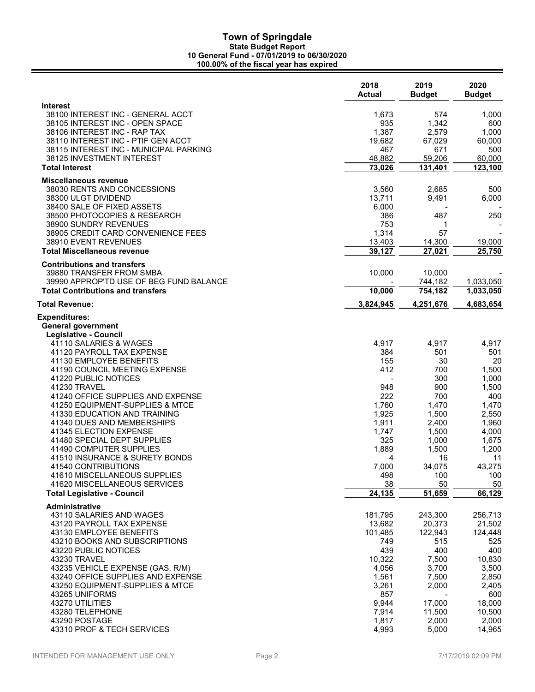|                                                                                                              | 2018<br>Actual         | 2019<br><b>Budget</b>  | 2020<br><b>Budget</b>  |
|--------------------------------------------------------------------------------------------------------------|------------------------|------------------------|------------------------|
| Interest<br>38100 INTEREST INC - GENERAL ACCT<br>38105 INTEREST INC - OPEN SPACE                             | 1,673<br>935           | 574<br>1,342           | 1,000<br>600           |
| 38106 INTEREST INC - RAP TAX<br>38110 INTEREST INC - PTIF GEN ACCT<br>38115 INTEREST INC - MUNICIPAL PARKING | 1,387<br>19,682<br>467 | 2,579<br>67,029<br>671 | 1,000<br>60,000<br>500 |
| 38125 INVESTMENT INTEREST<br><b>Total Interest</b>                                                           | 48,882<br>73,026       | 59,206<br>131,401      | 60,000<br>123,100      |
| Miscellaneous revenue                                                                                        |                        |                        |                        |
| 38030 RENTS AND CONCESSIONS                                                                                  | 3,560                  | 2,685                  | 500                    |
| 38300 ULGT DIVIDEND<br>38400 SALE OF FIXED ASSETS                                                            | 13,711<br>6,000        | 9,491                  | 6,000                  |
| 38500 PHOTOCOPIES & RESEARCH                                                                                 | 386                    | 487                    | 250                    |
| 38900 SUNDRY REVENUES                                                                                        | 753                    | 1                      |                        |
| 38905 CREDIT CARD CONVENIENCE FEES                                                                           | 1,314                  | 57                     |                        |
| 38910 EVENT REVENUES<br><b>Total Miscellaneous revenue</b>                                                   | 13,403<br>39,127       | 14,300<br>27,021       | 19,000<br>25,750       |
| <b>Contributions and transfers</b>                                                                           |                        |                        |                        |
| 39880 TRANSFER FROM SMBA<br>39990 APPROP'TD USE OF BEG FUND BALANCE                                          | 10,000                 | 10,000<br>744,182      | 1,033,050              |
| <b>Total Contributions and transfers</b>                                                                     | 10,000                 | 754,182                | 1,033,050              |
| Total Revenue:                                                                                               | 3,824,945              | 4,251,676              | 4,683,654              |
| Expenditures:                                                                                                |                        |                        |                        |
| General government                                                                                           |                        |                        |                        |
| Legislative - Council<br>41110 SALARIES & WAGES                                                              | 4,917                  | 4,917                  | 4,917                  |
| 41120 PAYROLL TAX EXPENSE                                                                                    | 384                    | 501                    | 501                    |
| 41130 EMPLOYEE BENEFITS                                                                                      | 155                    | 30                     | 20                     |
| 41190 COUNCIL MEETING EXPENSE<br>41220 PUBLIC NOTICES                                                        | 412                    | 700<br>300             | 1,500                  |
| 41230 TRAVEL                                                                                                 | 948                    | 900                    | 1,000<br>1,500         |
| 41240 OFFICE SUPPLIES AND EXPENSE                                                                            | 222                    | 700                    | 400                    |
| 41250 EQUIPMENT-SUPPLIES & MTCE                                                                              | 1,760                  | 1,470                  | 1,470                  |
| 41330 EDUCATION AND TRAINING<br>41340 DUES AND MEMBERSHIPS                                                   | 1,925                  | 1,500                  | 2,550                  |
| 41345 ELECTION EXPENSE                                                                                       | 1,911<br>1,747         | 2,400<br>1,500         | 1,960<br>4,000         |
| 41480 SPECIAL DEPT SUPPLIES                                                                                  | 325                    | 1,000                  | 1,675                  |
| 41490 COMPUTER SUPPLIES                                                                                      | 1,889                  | 1,500                  | 1,200                  |
| 41510 INSURANCE & SURETY BONDS<br>41540 CONTRIBUTIONS                                                        | 4<br>7,000             | 16<br>34,075           | 11<br>43,275           |
| 41610 MISCELLANEOUS SUPPLIES                                                                                 | 498                    | 100                    | 100                    |
| 41620 MISCELLANEOUS SERVICES                                                                                 | 38                     | 50                     | 50                     |
| <b>Total Legislative - Council</b>                                                                           | 24,135                 | 51,659                 | 66,129                 |
| Administrative                                                                                               |                        |                        |                        |
| 43110 SALARIES AND WAGES<br>43120 PAYROLL TAX EXPENSE                                                        | 181,795<br>13,682      | 243,300<br>20,373      | 256,713<br>21,502      |
| 43130 EMPLOYEE BENEFITS                                                                                      | 101,485                | 122,943                | 124,448                |
| 43210 BOOKS AND SUBSCRIPTIONS                                                                                | 749                    | 515                    | 525                    |
| 43220 PUBLIC NOTICES<br>43230 TRAVEL                                                                         | 439<br>10,322          | 400<br>7,500           | 400<br>10,830          |
| 43235 VEHICLE EXPENSE (GAS, R/M)                                                                             | 4,056                  | 3,700                  | 3,500                  |
| 43240 OFFICE SUPPLIES AND EXPENSE                                                                            | 1,561                  | 7,500                  | 2,850                  |
| 43250 EQUIPMENT-SUPPLIES & MTCE                                                                              | 3,261                  | 2,000                  | 2,405                  |
| 43265 UNIFORMS                                                                                               | 857                    |                        | 600                    |
| 43270 UTILITIES<br>43280 TELEPHONE                                                                           | 9,944<br>7,914         | 17,000<br>11,500       | 18,000<br>10,500       |
| 43290 POSTAGE                                                                                                | 1,817                  | 2,000                  | 2,000                  |
| 43310 PROF & TECH SERVICES                                                                                   | 4,993                  | 5,000                  | 14,965                 |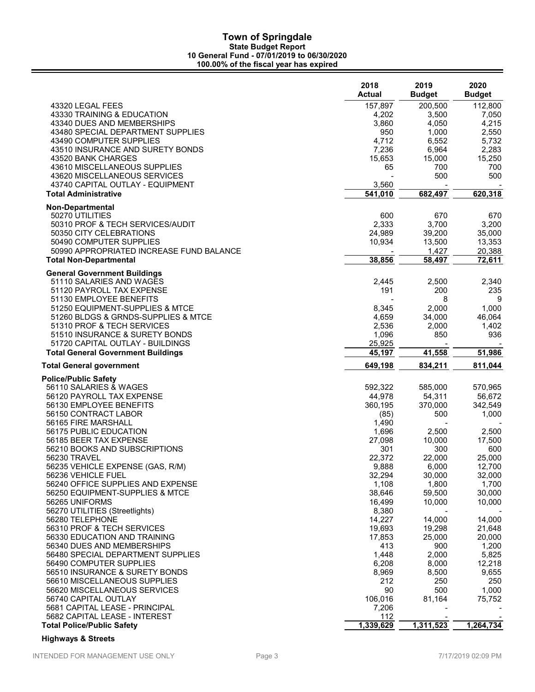|                                                         | 2018<br><b>Actual</b> | 2019<br><b>Budget</b> | 2020<br><b>Budget</b> |
|---------------------------------------------------------|-----------------------|-----------------------|-----------------------|
| 43320 LEGAL FEES                                        | 157,897               | 200,500               | 112,800               |
| 43330 TRAINING & EDUCATION                              | 4,202                 | 3,500                 | 7,050                 |
| 43340 DUES AND MEMBERSHIPS                              | 3,860                 | 4,050                 | 4,215                 |
| 43480 SPECIAL DEPARTMENT SUPPLIES                       | 950                   | 1,000                 | 2,550                 |
| 43490 COMPUTER SUPPLIES                                 | 4,712                 | 6,552                 | 5,732                 |
| 43510 INSURANCE AND SURETY BONDS                        | 7,236                 | 6,964                 | 2,283                 |
| 43520 BANK CHARGES                                      | 15,653                | 15,000                | 15,250                |
| 43610 MISCELLANEOUS SUPPLIES                            | 65                    | 700                   | 700                   |
| 43620 MISCELLANEOUS SERVICES                            |                       | 500                   | 500                   |
| 43740 CAPITAL OUTLAY - EQUIPMENT                        | 3,560                 |                       |                       |
| Total Administrative                                    | 541,010               | 682,497               | 620,318               |
|                                                         |                       |                       |                       |
| <b>Non-Departmental</b><br>50270 UTILITIES              | 600                   | 670                   | 670                   |
| 50310 PROF & TECH SERVICES/AUDIT                        | 2,333                 | 3,700                 | 3,200                 |
| 50350 CITY CELEBRATIONS                                 | 24,989                | 39,200                | 35,000                |
| 50490 COMPUTER SUPPLIES                                 | 10,934                | 13,500                | 13,353                |
| 50990 APPROPRIATED INCREASE FUND BALANCE                |                       | 1,427                 | 20,388                |
| <b>Total Non-Departmental</b>                           | 38,856                | 58,497                | 72,611                |
|                                                         |                       |                       |                       |
| <b>General Government Buildings</b>                     |                       |                       |                       |
| 51110 SALARIES AND WAGES                                | 2,445                 | 2,500                 | 2,340                 |
| 51120 PAYROLL TAX EXPENSE                               | 191                   | 200                   | 235                   |
| 51130 EMPLOYEE BENEFITS                                 |                       | 8                     | 9                     |
| 51250 EQUIPMENT-SUPPLIES & MTCE                         | 8,345                 | 2,000                 | 1,000                 |
| 51260 BLDGS & GRNDS-SUPPLIES & MTCE                     | 4,659                 | 34,000                | 46,064                |
| 51310 PROF & TECH SERVICES                              | 2,536                 | 2,000                 | 1,402                 |
| 51510 INSURANCE & SURETY BONDS                          | 1,096                 | 850                   | 936                   |
| 51720 CAPITAL OUTLAY - BUILDINGS                        | 25,925                |                       |                       |
| <b>Total General Government Buildings</b>               | 45,197                | 41,558                | 51,986                |
| Total General government                                | 649,198               | 834,211               | 811,044               |
| <b>Police/Public Safety</b>                             |                       |                       |                       |
| 56110 SALARIES & WAGES                                  | 592,322               | 585,000               | 570,965               |
| 56120 PAYROLL TAX EXPENSE                               | 44,978                | 54,311                | 56,672                |
| 56130 EMPLOYEE BENEFITS                                 | 360,195               | 370,000               | 342,549               |
| 56150 CONTRACT LABOR                                    | (85)                  | 500                   | 1,000                 |
| 56165 FIRE MARSHALL                                     | 1,490                 |                       |                       |
| 56175 PUBLIC EDUCATION                                  | 1,696                 | 2,500                 | 2,500                 |
| 56185 BEER TAX EXPENSE                                  | 27,098                | 10,000                | 17,500                |
| 56210 BOOKS AND SUBSCRIPTIONS                           | 301                   | 300                   | 600                   |
| 56230 TRAVEL                                            | 22,372                | 22,000                | 25,000                |
| 56235 VEHICLE EXPENSE (GAS, R/M)                        | 9,888                 | 6,000                 | 12,700                |
| 56236 VEHICLE FUEL<br>56240 OFFICE SUPPLIES AND EXPENSE | 32,294                | 30,000                | 32,000                |
|                                                         | 1,108<br>38,646       | 1,800                 | 1,700<br>30,000       |
| 56250 EQUIPMENT-SUPPLIES & MTCE<br>56265 UNIFORMS       |                       | 59,500                | 10,000                |
| 56270 UTILITIES (Streetlights)                          | 16,499<br>8,380       | 10,000                |                       |
| 56280 TELEPHONE                                         | 14,227                | 14,000                | 14,000                |
| 56310 PROF & TECH SERVICES                              | 19,693                | 19,298                | 21,648                |
| 56330 EDUCATION AND TRAINING                            | 17,853                | 25,000                | 20,000                |
| 56340 DUES AND MEMBERSHIPS                              | 413                   | 900                   | 1,200                 |
| 56480 SPECIAL DEPARTMENT SUPPLIES                       | 1,448                 | 2,000                 | 5,825                 |
| 56490 COMPUTER SUPPLIES                                 | 6,208                 | 8,000                 | 12,218                |
| 56510 INSURANCE & SURETY BONDS                          | 8,969                 | 8,500                 | 9,655                 |
| 56610 MISCELLANEOUS SUPPLIES                            | 212                   | 250                   | 250                   |
| 56620 MISCELLANEOUS SERVICES                            | 90                    | 500                   | 1,000                 |
| 56740 CAPITAL OUTLAY                                    | 106,016               | 81,164                | 75,752                |
| 5681 CAPITAL LEASE - PRINCIPAL                          | 7,206                 |                       |                       |
| 5682 CAPITAL LEASE - INTEREST                           | 112                   |                       |                       |
| <b>Total Police/Public Safety</b>                       | 1,339,629             | 1,311,523             | 1,264,734             |
|                                                         |                       |                       |                       |

# Highways & Streets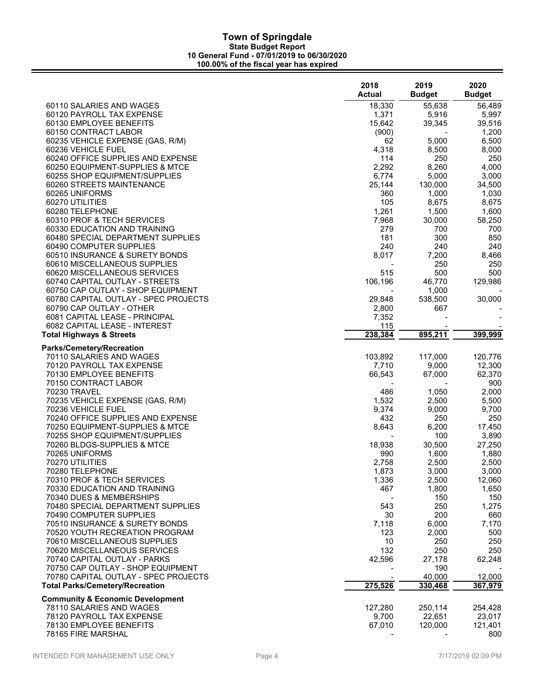|                                                              | 2018<br><b>Actual</b>        | 2019<br><b>Budget</b> | 2020<br><b>Budget</b> |
|--------------------------------------------------------------|------------------------------|-----------------------|-----------------------|
| 60110 SALARIES AND WAGES                                     | 18,330                       | 55,638                | 56,489                |
| 60120 PAYROLL TAX EXPENSE                                    | 1,371                        | 5,916                 | 5,997                 |
| 60130 EMPLOYEE BENEFITS                                      | 15,642                       | 39,345                | 39,516                |
| 60150 CONTRACT LABOR                                         | (900)                        |                       | 1,200                 |
| 60235 VEHICLE EXPENSE (GAS, R/M)                             | 62                           | 5,000                 | 6,500                 |
| 60236 VEHICLE FUEL<br>60240 OFFICE SUPPLIES AND EXPENSE      | 4,318<br>114                 | 8,500<br>250          | 8,000<br>250          |
| 60250 EQUIPMENT-SUPPLIES & MTCE                              | 2,292                        | 8,260                 | 4,000                 |
| 60255 SHOP EQUIPMENT/SUPPLIES                                | 6,774                        | 5,000                 | 3,000                 |
| 60260 STREETS MAINTENANCE                                    | 25,144                       | 130,000               | 34,500                |
| 60265 UNIFORMS                                               | 360                          | 1,000                 | 1,030                 |
| 60270 UTILITIES                                              | 105                          | 8,675                 | 8,675                 |
| 60280 TELEPHONE                                              | 1,261                        | 1,500                 | 1,600                 |
| 60310 PROF & TECH SERVICES                                   | 7,968                        | 30,000                | 58,250                |
| 60330 EDUCATION AND TRAINING                                 | 279                          | 700                   | 700                   |
| 60480 SPECIAL DEPARTMENT SUPPLIES<br>60490 COMPUTER SUPPLIES | 181<br>240                   | 300<br>240            | 850<br>240            |
| 60510 INSURANCE & SURETY BONDS                               | 8,017                        | 7,200                 | 8,466                 |
| 60610 MISCELLANEOUS SUPPLIES                                 |                              | 250                   | 250                   |
| 60620 MISCELLANEOUS SERVICES                                 | 515                          | 500                   | 500                   |
| 60740 CAPITAL OUTLAY - STREETS                               | 106,196                      | 46,770                | 129,986               |
| 60750 CAP OUTLAY - SHOP EQUIPMENT                            |                              | 1,000                 |                       |
| 60780 CAPITAL OUTLAY - SPEC PROJECTS                         | 29,848                       | 538,500               | 30,000                |
| 60790 CAP OUTLAY - OTHER                                     | 2,800                        | 667                   |                       |
| 6081 CAPITAL LEASE - PRINCIPAL                               | 7,352                        |                       |                       |
| 6082 CAPITAL LEASE - INTEREST                                | 115<br>238,384               | 895,211               | 399,999               |
| <b>Total Highways &amp; Streets</b>                          |                              |                       |                       |
| <b>Parks/Cemetery/Recreation</b>                             |                              |                       |                       |
| 70110 SALARIES AND WAGES                                     | 103,892                      | 117,000               | 120,776               |
| 70120 PAYROLL TAX EXPENSE                                    | 7,710                        | 9,000<br>67,000       | 12,300                |
| 70130 EMPLOYEE BENEFITS<br>70150 CONTRACT LABOR              | 66,543                       |                       | 62,370<br>900         |
| 70230 TRAVEL                                                 | 486                          | 1,050                 | 2,000                 |
| 70235 VEHICLE EXPENSE (GAS, R/M)                             | 1,532                        | 2,500                 | 5,500                 |
| 70236 VEHICLE FUEL                                           | 9,374                        | 9,000                 | 9,700                 |
| 70240 OFFICE SUPPLIES AND EXPENSE                            | 432                          | 250                   | 250                   |
| 70250 EQUIPMENT-SUPPLIES & MTCE                              | 8,643                        | 6,200                 | 17,450                |
| 70255 SHOP EQUIPMENT/SUPPLIES                                | $\qquad \qquad \blacksquare$ | 100                   | 3,890                 |
| 70260 BLDGS-SUPPLIES & MTCE                                  | 18,938                       | 30,500                | 27,250                |
| 70265 UNIFORMS<br>70270 UTILITIES                            | 990                          | 1,600                 | 1,880                 |
| 70280 TELEPHONE                                              | 2,758<br>1,873               | 2,500<br>3,000        | 2,500<br>3,000        |
| 70310 PROF & TECH SERVICES                                   | 1,336                        | 2,500                 | 12,060                |
| 70330 EDUCATION AND TRAINING                                 | 467                          | 1,800                 | 1,650                 |
| 70340 DUES & MEMBERSHIPS                                     |                              | 150                   | 150                   |
| 70480 SPECIAL DEPARTMENT SUPPLIES                            | 543                          | 250                   | 1,275                 |
| 70490 COMPUTER SUPPLIES                                      | 30                           | 200                   | 660                   |
| 70510 INSURANCE & SURETY BONDS                               | 7,118                        | 6,000                 | 7,170                 |
| 70520 YOUTH RECREATION PROGRAM                               | 123                          | 2,000                 | 500                   |
| 70610 MISCELLANEOUS SUPPLIES<br>70620 MISCELLANEOUS SERVICES | 10<br>132                    | 250                   | 250                   |
| 70740 CAPITAL OUTLAY - PARKS                                 | 42,596                       | 250<br>27,178         | 250<br>62,248         |
| 70750 CAP OUTLAY - SHOP EQUIPMENT                            |                              | 190                   |                       |
| 70780 CAPITAL OUTLAY - SPEC PROJECTS                         |                              | 40,000                | 12,000                |
| <b>Total Parks/Cemetery/Recreation</b>                       | 275,526                      | 330,468               | 367,979               |
| <b>Community &amp; Economic Development</b>                  |                              |                       |                       |
| 78110 SALARIES AND WAGES                                     | 127,280                      | 250,114               | 254,428               |
| 78120 PAYROLL TAX EXPENSE                                    | 9,700                        | 22,651                | 23,017                |
| 78130 EMPLOYEE BENEFITS                                      | 67,010                       | 120,000               | 121,401               |
| 78165 FIRE MARSHAL                                           |                              |                       | 800                   |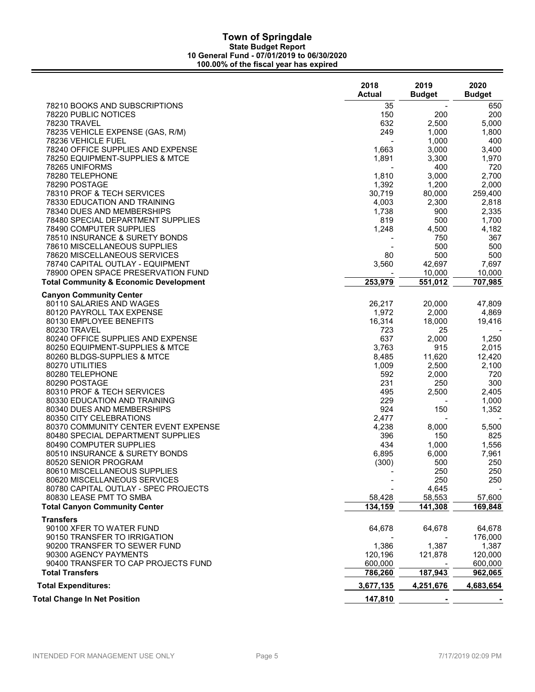|                                                                 | 2018<br><b>Actual</b> | 2019<br><b>Budget</b> | 2020<br><b>Budget</b> |
|-----------------------------------------------------------------|-----------------------|-----------------------|-----------------------|
| 78210 BOOKS AND SUBSCRIPTIONS                                   | 35                    |                       | 650                   |
| 78220 PUBLIC NOTICES                                            | 150                   | 200                   | 200                   |
| 78230 TRAVEL                                                    | 632                   | 2,500                 | 5,000                 |
| 78235 VEHICLE EXPENSE (GAS, R/M)                                | 249                   | 1,000                 | 1,800                 |
| 78236 VEHICLE FUEL                                              |                       | 1,000                 | 400                   |
| 78240 OFFICE SUPPLIES AND EXPENSE                               | 1,663                 | 3,000                 | 3,400                 |
| 78250 EQUIPMENT-SUPPLIES & MTCE                                 | 1,891                 | 3,300                 | 1,970                 |
| 78265 UNIFORMS                                                  |                       | 400                   | 720                   |
| 78280 TELEPHONE                                                 | 1,810                 | 3,000                 | 2,700                 |
| 78290 POSTAGE                                                   | 1,392                 | 1,200                 | 2,000                 |
| 78310 PROF & TECH SERVICES                                      | 30,719                | 80,000                | 259,400               |
| 78330 EDUCATION AND TRAINING                                    | 4,003                 | 2,300                 | 2,818                 |
| 78340 DUES AND MEMBERSHIPS<br>78480 SPECIAL DEPARTMENT SUPPLIES | 1,738<br>819          | 900<br>500            | 2,335<br>1,700        |
| 78490 COMPUTER SUPPLIES                                         | 1,248                 | 4,500                 | 4,182                 |
| 78510 INSURANCE & SURETY BONDS                                  |                       | 750                   | 367                   |
| 78610 MISCELLANEOUS SUPPLIES                                    |                       | 500                   | 500                   |
| 78620 MISCELLANEOUS SERVICES                                    | 80                    | 500                   | 500                   |
| 78740 CAPITAL OUTLAY - EQUIPMENT                                | 3,560                 | 42,697                | 7,697                 |
| 78900 OPEN SPACE PRESERVATION FUND                              |                       | 10,000                | 10,000                |
| <b>Total Community &amp; Economic Development</b>               | 253,979               | 551,012               | 707,985               |
| <b>Canyon Community Center</b>                                  |                       |                       |                       |
| 80110 SALARIES AND WAGES                                        | 26,217                | 20,000                | 47,809                |
| 80120 PAYROLL TAX EXPENSE                                       | 1,972                 | 2,000                 | 4,869                 |
| 80130 EMPLOYEE BENEFITS                                         | 16,314                | 18,000                | 19,416                |
| 80230 TRAVEL                                                    | 723                   | 25                    |                       |
| 80240 OFFICE SUPPLIES AND EXPENSE                               | 637                   | 2,000                 | 1,250                 |
| 80250 EQUIPMENT-SUPPLIES & MTCE                                 | 3,763                 | 915                   | 2,015                 |
| 80260 BLDGS-SUPPLIES & MTCE                                     | 8,485                 | 11,620                | 12,420                |
| 80270 UTILITIES<br>80280 TELEPHONE                              | 1,009<br>592          | 2,500<br>2,000        | 2,100<br>720          |
| 80290 POSTAGE                                                   | 231                   | 250                   | 300                   |
| 80310 PROF & TECH SERVICES                                      | 495                   | 2,500                 | 2,405                 |
| 80330 EDUCATION AND TRAINING                                    | 229                   |                       | 1,000                 |
| 80340 DUES AND MEMBERSHIPS                                      | 924                   | 150                   | 1,352                 |
| 80350 CITY CELEBRATIONS                                         | 2,477                 |                       |                       |
| 80370 COMMUNITY CENTER EVENT EXPENSE                            | 4,238                 | 8,000                 | 5,500                 |
| 80480 SPECIAL DEPARTMENT SUPPLIES                               | 396                   | 150                   | 825                   |
| 80490 COMPUTER SUPPLIES                                         | 434                   | 1,000                 | 1,556                 |
| 80510 INSURANCE & SURETY BONDS                                  | 6,895                 | 6,000                 | 7,961                 |
| 80520 SENIOR PROGRAM                                            | (300)                 | 500                   | 250                   |
| 80610 MISCELLANEOUS SUPPLIES                                    |                       | 250                   | 250                   |
| 80620 MISCELLANEOUS SERVICES                                    |                       | 250                   | 250                   |
| 80780 CAPITAL OUTLAY - SPEC PROJECTS                            |                       | 4,645                 |                       |
| 80830 LEASE PMT TO SMBA                                         | 58,428                | 58,553                | 57,600                |
| <b>Total Canyon Community Center</b>                            | 134,159               | 141,308               | 169,848               |
| <b>Transfers</b><br>90100 XFER TO WATER FUND                    |                       |                       |                       |
|                                                                 | 64,678                | 64,678                | 64,678                |
| 90150 TRANSFER TO IRRIGATION<br>90200 TRANSFER TO SEWER FUND    | 1,386                 | 1,387                 | 176,000<br>1,387      |
| 90300 AGENCY PAYMENTS                                           | 120,196               | 121,878               | 120,000               |
| 90400 TRANSFER TO CAP PROJECTS FUND                             | 600,000               |                       | 600,000               |
| <b>Total Transfers</b>                                          | 786,260               | 187,943               | 962,065               |
| <b>Total Expenditures:</b>                                      | 3,677,135             | 4,251,676             | 4,683,654             |
| <b>Total Change In Net Position</b>                             | 147,810               |                       |                       |
|                                                                 |                       |                       |                       |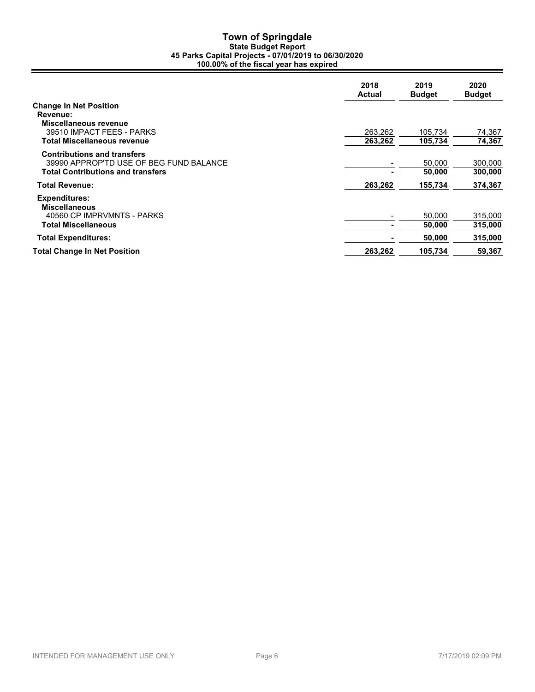## Town of Springdale State Budget Report 45 Parks Capital Projects - 07/01/2019 to 06/30/2020 100.00% of the fiscal year has expired

|                                                                                                                           | 2018<br><b>Actual</b> | 2019<br><b>Budget</b> | 2020<br><b>Budget</b> |
|---------------------------------------------------------------------------------------------------------------------------|-----------------------|-----------------------|-----------------------|
| <b>Change In Net Position</b><br>Revenue:<br>Miscellaneous revenue<br>39510 IMPACT FEES - PARKS                           | 263,262               | 105.734               | 74,367                |
| Total Miscellaneous revenue                                                                                               | 263,262               | 105,734               | 74,367                |
| <b>Contributions and transfers</b><br>39990 APPROP'TD USE OF BEG FUND BALANCE<br><b>Total Contributions and transfers</b> |                       | 50,000<br>50,000      | 300,000<br>300,000    |
| <b>Total Revenue:</b>                                                                                                     | 263,262               | 155.734               | 374,367               |
| <b>Expenditures:</b><br><b>Miscellaneous</b><br>40560 CP IMPRVMNTS - PARKS<br><b>Total Miscellaneous</b>                  |                       | 50,000<br>50,000      | 315,000<br>315,000    |
| <b>Total Expenditures:</b>                                                                                                |                       | 50,000                | 315,000               |
| <b>Total Change In Net Position</b>                                                                                       | 263,262               | 105.734               | 59,367                |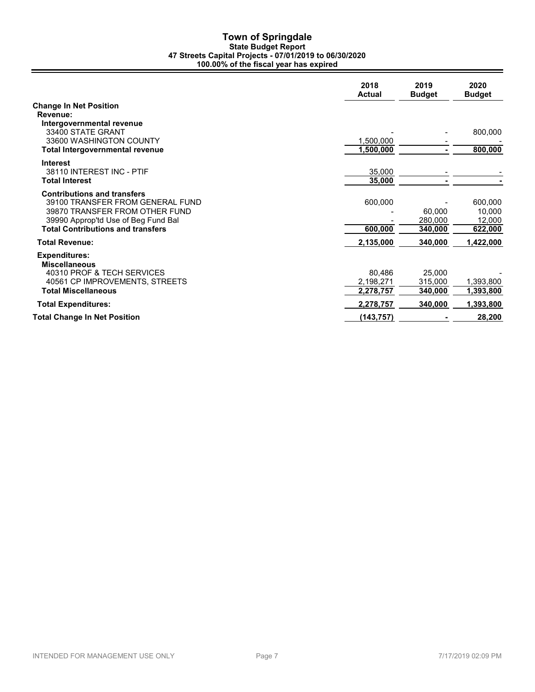## Town of Springdale State Budget Report 47 Streets Capital Projects - 07/01/2019 to 06/30/2020 100.00% of the fiscal year has expired

|                                                                                                                                                                                             | 2018<br><b>Actual</b> | 2019<br><b>Budget</b>        | 2020<br><b>Budget</b>                  |
|---------------------------------------------------------------------------------------------------------------------------------------------------------------------------------------------|-----------------------|------------------------------|----------------------------------------|
| <b>Change In Net Position</b><br>Revenue:<br>Intergovernmental revenue                                                                                                                      |                       |                              |                                        |
| 33400 STATF GRANT<br>33600 WASHINGTON COUNTY                                                                                                                                                | 1,500,000             |                              | 800,000                                |
| <b>Total Intergovernmental revenue</b>                                                                                                                                                      | 1,500,000             |                              | 800,000                                |
| <b>Interest</b><br>38110 INTEREST INC - PTIF<br><b>Total Interest</b>                                                                                                                       | 35,000<br>35,000      |                              |                                        |
| <b>Contributions and transfers</b><br>39100 TRANSFER FROM GENERAL FUND<br>39870 TRANSFER FROM OTHER FUND<br>39990 Approp'td Use of Beg Fund Bal<br><b>Total Contributions and transfers</b> | 600,000<br>600,000    | 60.000<br>280,000<br>340,000 | 600,000<br>10.000<br>12,000<br>622,000 |
| <b>Total Revenue:</b>                                                                                                                                                                       | 2,135,000             | 340,000                      | 1,422,000                              |
| <b>Expenditures:</b><br><b>Miscellaneous</b><br>40310 PROF & TECH SERVICES<br>40561 CP IMPROVEMENTS, STREETS                                                                                | 80.486<br>2,198,271   | 25,000<br>315,000            | 1,393,800                              |
| <b>Total Miscellaneous</b>                                                                                                                                                                  | 2,278,757             | 340,000                      | 1,393,800                              |
| <b>Total Expenditures:</b>                                                                                                                                                                  | 2,278,757             | 340,000                      | 1,393,800                              |
| <b>Total Change In Net Position</b>                                                                                                                                                         | (143, 757)            |                              | 28,200                                 |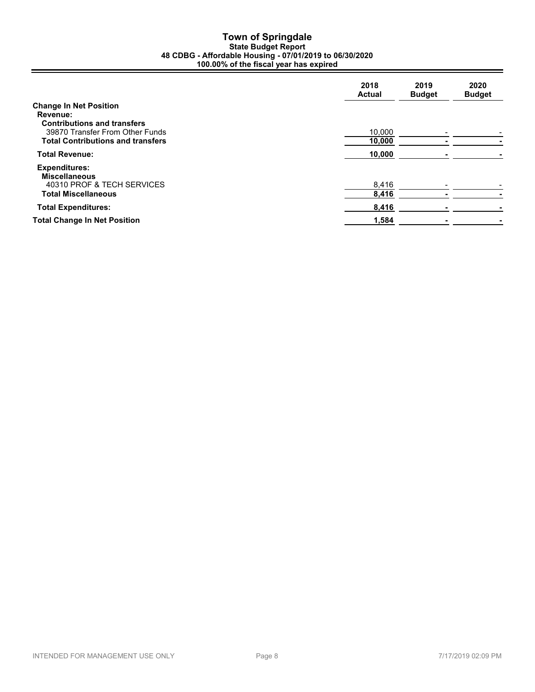#### Town of Springdale State Budget Report 48 CDBG - Affordable Housing - 07/01/2019 to 06/30/2020 100.00% of the fiscal year has expired

|                                                                                                                                                                       | 2018<br><b>Actual</b> | 2019<br><b>Budget</b> | 2020<br><b>Budget</b> |
|-----------------------------------------------------------------------------------------------------------------------------------------------------------------------|-----------------------|-----------------------|-----------------------|
| <b>Change In Net Position</b><br><b>Revenue:</b><br><b>Contributions and transfers</b><br>39870 Transfer From Other Funds<br><b>Total Contributions and transfers</b> | 10.000<br>10,000      |                       |                       |
| <b>Total Revenue:</b>                                                                                                                                                 | 10,000                |                       |                       |
| <b>Expenditures:</b><br><b>Miscellaneous</b><br>40310 PROF & TECH SERVICES<br><b>Total Miscellaneous</b>                                                              | 8,416<br>8,416        |                       |                       |
|                                                                                                                                                                       |                       |                       |                       |
| <b>Total Expenditures:</b>                                                                                                                                            | 8,416                 |                       |                       |
| <b>Total Change In Net Position</b>                                                                                                                                   | 1,584                 |                       |                       |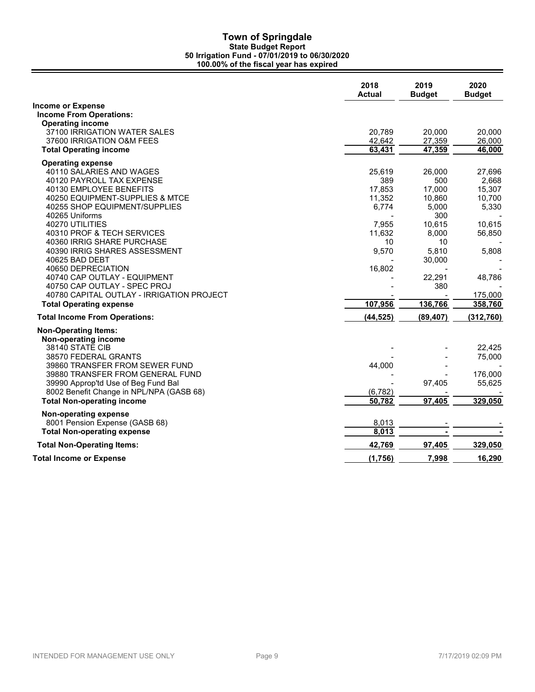|                                           | 2018<br>Actual | 2019<br><b>Budget</b> | 2020<br><b>Budget</b> |
|-------------------------------------------|----------------|-----------------------|-----------------------|
| <b>Income or Expense</b>                  |                |                       |                       |
| <b>Income From Operations:</b>            |                |                       |                       |
| <b>Operating income</b>                   |                |                       |                       |
| 37100 IRRIGATION WATER SALES              | 20,789         | 20,000                | 20,000                |
| 37600 IRRIGATION O&M FEES                 | 42,642         | 27,359                | 26,000                |
| <b>Total Operating income</b>             | 63,431         | 47,359                | 46,000                |
| <b>Operating expense</b>                  |                |                       |                       |
| 40110 SALARIES AND WAGES                  | 25,619         | 26,000                | 27,696                |
| 40120 PAYROLL TAX EXPENSE                 | 389            | 500                   | 2,668                 |
| 40130 EMPLOYEE BENEFITS                   | 17,853         | 17,000                | 15,307                |
| 40250 EQUIPMENT-SUPPLIES & MTCE           | 11,352         | 10,860                | 10,700                |
| 40255 SHOP EQUIPMENT/SUPPLIES             | 6,774          | 5,000                 | 5,330                 |
| 40265 Uniforms                            |                | 300                   |                       |
| 40270 UTILITIES                           | 7,955          | 10,615                | 10,615                |
| 40310 PROF & TECH SERVICES                | 11,632         | 8,000                 | 56,850                |
| 40360 IRRIG SHARE PURCHASE                | 10             | 10                    |                       |
| 40390 IRRIG SHARES ASSESSMENT             | 9,570          | 5,810                 | 5,808                 |
| 40625 BAD DEBT                            |                | 30,000                |                       |
| 40650 DEPRECIATION                        | 16,802         |                       |                       |
| 40740 CAP OUTLAY - EQUIPMENT              |                | 22,291                | 48,786                |
| 40750 CAP OUTLAY - SPEC PROJ              |                | 380                   |                       |
| 40780 CAPITAL OUTLAY - IRRIGATION PROJECT |                |                       | 175,000               |
| <b>Total Operating expense</b>            | 107,956        | 136,766               | 358,760               |
| <b>Total Income From Operations:</b>      | (44, 525)      | (89, 407)             | (312, 760)            |
| <b>Non-Operating Items:</b>               |                |                       |                       |
| Non-operating income                      |                |                       |                       |
| 38140 STATE CIB                           |                |                       | 22,425                |
| 38570 FEDERAL GRANTS                      |                |                       | 75,000                |
| 39860 TRANSFER FROM SEWER FUND            | 44,000         |                       |                       |
| 39880 TRANSFER FROM GENERAL FUND          |                |                       | 176,000               |
| 39990 Approp'td Use of Beg Fund Bal       |                | 97,405                | 55,625                |
| 8002 Benefit Change in NPL/NPA (GASB 68)  | (6, 782)       |                       |                       |
| <b>Total Non-operating income</b>         | 50,782         | 97,405                | 329,050               |
| Non-operating expense                     |                |                       |                       |
| 8001 Pension Expense (GASB 68)            | 8,013          |                       |                       |
| <b>Total Non-operating expense</b>        | 8,013          |                       |                       |
| <b>Total Non-Operating Items:</b>         | 42,769         | 97,405                | 329,050               |
| <b>Total Income or Expense</b>            | (1,756)        | 7,998                 | 16,290                |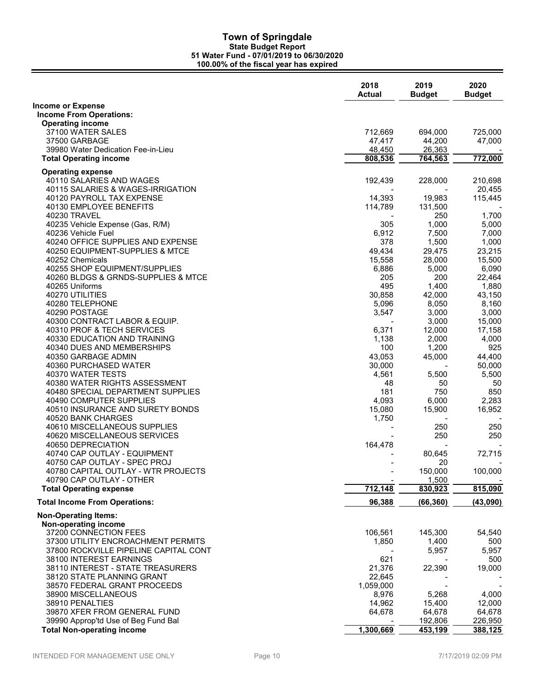|                                                                             | 2018<br><b>Actual</b> | 2019<br><b>Budget</b> | 2020<br><b>Budget</b> |
|-----------------------------------------------------------------------------|-----------------------|-----------------------|-----------------------|
| <b>Income or Expense</b>                                                    |                       |                       |                       |
| <b>Income From Operations:</b>                                              |                       |                       |                       |
| <b>Operating income</b>                                                     |                       |                       |                       |
| 37100 WATER SALES<br>37500 GARBAGE                                          | 712,669<br>47,417     | 694,000<br>44,200     | 725,000<br>47,000     |
| 39980 Water Dedication Fee-in-Lieu                                          | 48,450                | 26,363                |                       |
| <b>Total Operating income</b>                                               | 808,536               | 764,563               | 772,000               |
|                                                                             |                       |                       |                       |
| <b>Operating expense</b><br>40110 SALARIES AND WAGES                        | 192,439               | 228,000               | 210,698               |
| 40115 SALARIES & WAGES-IRRIGATION                                           |                       |                       | 20,455                |
| 40120 PAYROLL TAX EXPENSE                                                   | 14,393                | 19,983                | 115.445               |
| 40130 EMPLOYEE BENEFITS                                                     | 114,789               | 131,500               |                       |
| 40230 TRAVEL                                                                |                       | 250                   | 1,700                 |
| 40235 Vehicle Expense (Gas, R/M)                                            | 305                   | 1,000                 | 5,000                 |
| 40236 Vehicle Fuel                                                          | 6,912                 | 7,500                 | 7,000                 |
| 40240 OFFICE SUPPLIES AND EXPENSE                                           | 378                   | 1,500                 | 1,000                 |
| 40250 EQUIPMENT-SUPPLIES & MTCE                                             | 49,434                | 29,475                | 23,215                |
| 40252 Chemicals                                                             | 15,558                | 28,000                | 15,500                |
| 40255 SHOP EQUIPMENT/SUPPLIES                                               | 6,886                 | 5,000                 | 6,090                 |
| 40260 BLDGS & GRNDS-SUPPLIES & MTCE                                         | 205                   | 200                   | 22,464                |
| 40265 Uniforms<br>40270 UTILITIES                                           | 495                   | 1,400                 | 1,880                 |
| 40280 TELEPHONE                                                             | 30,858<br>5,096       | 42,000<br>8,050       | 43,150<br>8,160       |
| 40290 POSTAGE                                                               | 3,547                 | 3,000                 | 3,000                 |
| 40300 CONTRACT LABOR & EQUIP.                                               |                       | 3,000                 | 15,000                |
| 40310 PROF & TECH SERVICES                                                  | 6,371                 | 12,000                | 17,158                |
| 40330 EDUCATION AND TRAINING                                                | 1,138                 | 2,000                 | 4,000                 |
| 40340 DUES AND MEMBERSHIPS                                                  | 100                   | 1,200                 | 925                   |
| 40350 GARBAGE ADMIN                                                         | 43,053                | 45,000                | 44,400                |
| 40360 PURCHASED WATER                                                       | 30,000                |                       | 50,000                |
| 40370 WATER TESTS                                                           | 4,561                 | 5,500                 | 5,500                 |
| 40380 WATER RIGHTS ASSESSMENT                                               | 48                    | 50                    | 50                    |
| 40480 SPECIAL DEPARTMENT SUPPLIES                                           | 181                   | 750                   | 850                   |
| 40490 COMPUTER SUPPLIES                                                     | 4,093                 | 6,000                 | 2,283                 |
| 40510 INSURANCE AND SURETY BONDS<br>40520 BANK CHARGES                      | 15,080<br>1,750       | 15,900                | 16,952                |
| 40610 MISCELLANEOUS SUPPLIES                                                |                       | 250                   | 250                   |
| 40620 MISCELLANEOUS SERVICES                                                |                       | 250                   | 250                   |
| 40650 DEPRECIATION                                                          | 164,478               |                       |                       |
| 40740 CAP OUTLAY - EQUIPMENT                                                |                       | 80,645                | 72,715                |
| 40750 CAP OUTLAY - SPEC PROJ                                                |                       | 20                    |                       |
| 40780 CAPITAL OUTLAY - WTR PROJECTS                                         |                       | 150,000               | 100,000               |
| 40790 CAP OUTLAY - OTHER                                                    |                       | 1,500                 |                       |
| <b>Total Operating expense</b>                                              | 712,148               | 830,923               | 815,090               |
| <b>Total Income From Operations:</b>                                        | 96,388                | (66, 360)             | (43,090)              |
| <b>Non-Operating Items:</b>                                                 |                       |                       |                       |
| Non-operating income                                                        |                       |                       |                       |
| 37200 CONNECTION FEES                                                       | 106,561               | 145,300               | 54,540                |
| 37300 UTILITY ENCROACHMENT PERMITS<br>37800 ROCKVILLE PIPELINE CAPITAL CONT | 1,850                 | 1,400<br>5,957        | 500<br>5,957          |
| 38100 INTEREST EARNINGS                                                     | 621                   |                       | 500                   |
| 38110 INTEREST - STATE TREASURERS                                           | 21,376                | 22,390                | 19,000                |
| 38120 STATE PLANNING GRANT                                                  | 22,645                |                       |                       |
| 38570 FEDERAL GRANT PROCEEDS                                                | 1,059,000             |                       |                       |
| 38900 MISCELLANEOUS                                                         | 8,976                 | 5,268                 | 4,000                 |
| 38910 PENALTIES                                                             | 14,962                | 15,400                | 12,000                |
| 39870 XFER FROM GENERAL FUND                                                | 64,678                | 64,678                | 64,678                |
| 39990 Approp'td Use of Beg Fund Bal                                         |                       | 192,806               | 226,950               |
| <b>Total Non-operating income</b>                                           | 1,300,669             | 453,199               | 388,125               |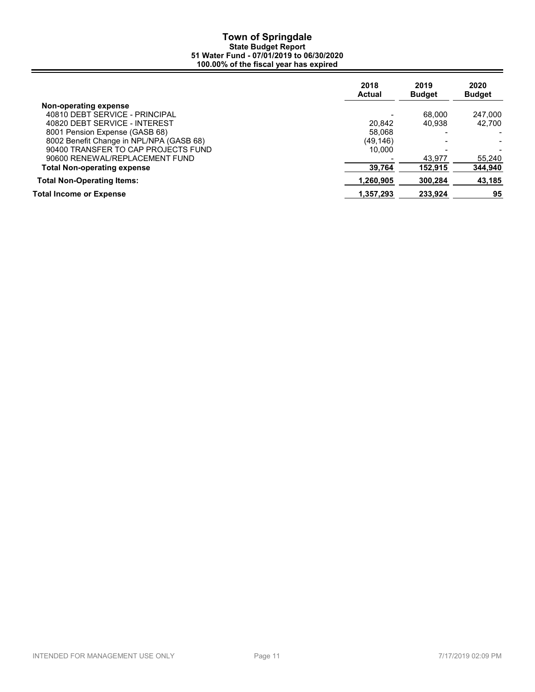|                                          | 2018<br><b>Actual</b> | 2019<br><b>Budget</b> | 2020<br><b>Budget</b> |
|------------------------------------------|-----------------------|-----------------------|-----------------------|
| Non-operating expense                    |                       |                       |                       |
| 40810 DEBT SERVICE - PRINCIPAL           |                       | 68,000                | 247,000               |
| 40820 DEBT SERVICE - INTEREST            | 20.842                | 40.938                | 42.700                |
| 8001 Pension Expense (GASB 68)           | 58.068                |                       |                       |
| 8002 Benefit Change in NPL/NPA (GASB 68) | (49, 146)             |                       |                       |
| 90400 TRANSFER TO CAP PROJECTS FUND      | 10.000                | -                     |                       |
| 90600 RENEWAL/REPLACEMENT FUND           |                       | 43.977                | 55,240                |
| <b>Total Non-operating expense</b>       | 39.764                | 152.915               | 344,940               |
| <b>Total Non-Operating Items:</b>        | 1.260.905             | 300.284               | 43,185                |
| Total Income or Expense                  | 1,357,293             | 233.924               | 95                    |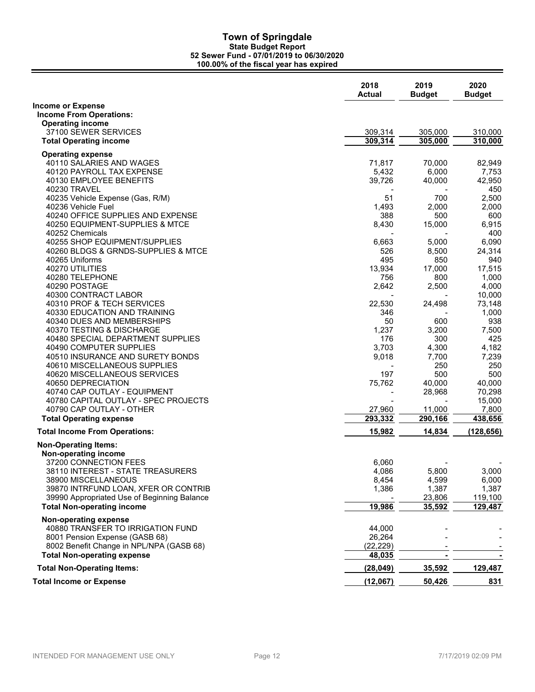|                                                            | 2018<br><b>Actual</b>        | 2019<br><b>Budget</b> | 2020<br><b>Budget</b> |
|------------------------------------------------------------|------------------------------|-----------------------|-----------------------|
| <b>Income or Expense</b><br><b>Income From Operations:</b> |                              |                       |                       |
| <b>Operating income</b>                                    |                              |                       |                       |
| 37100 SEWER SERVICES                                       | 309,314                      | 305,000               | 310,000               |
| <b>Total Operating income</b>                              | 309,314                      | 305,000               | 310,000               |
| <b>Operating expense</b>                                   |                              |                       |                       |
| 40110 SALARIES AND WAGES                                   | 71,817                       | 70,000                | 82,949                |
| 40120 PAYROLL TAX EXPENSE                                  | 5,432                        | 6,000                 | 7,753                 |
| 40130 EMPLOYEE BENEFITS                                    | 39,726                       | 40,000                | 42,950                |
| 40230 TRAVEL                                               |                              |                       | 450                   |
| 40235 Vehicle Expense (Gas, R/M)                           | 51                           | 700                   | 2,500                 |
| 40236 Vehicle Fuel                                         | 1,493                        | 2,000                 | 2,000                 |
| 40240 OFFICE SUPPLIES AND EXPENSE                          | 388                          | 500                   | 600                   |
| 40250 EQUIPMENT-SUPPLIES & MTCE<br>40252 Chemicals         | 8,430                        | 15,000                | 6,915<br>400          |
| 40255 SHOP EQUIPMENT/SUPPLIES                              | 6,663                        | 5,000                 | 6,090                 |
| 40260 BLDGS & GRNDS-SUPPLIES & MTCE                        | 526                          | 8,500                 | 24,314                |
| 40265 Uniforms                                             | 495                          | 850                   | 940                   |
| 40270 UTILITIES                                            | 13,934                       | 17,000                | 17,515                |
| 40280 TELEPHONE                                            | 756                          | 800                   | 1,000                 |
| 40290 POSTAGE                                              | 2,642                        | 2,500                 | 4,000                 |
| 40300 CONTRACT LABOR                                       |                              |                       | 10,000                |
| 40310 PROF & TECH SERVICES                                 | 22,530                       | 24,498                | 73,148                |
| 40330 EDUCATION AND TRAINING                               | 346                          |                       | 1,000                 |
| 40340 DUES AND MEMBERSHIPS                                 | 50                           | 600                   | 938                   |
| 40370 TESTING & DISCHARGE                                  | 1,237                        | 3,200                 | 7,500                 |
| 40480 SPECIAL DEPARTMENT SUPPLIES                          | 176                          | 300                   | 425                   |
| 40490 COMPUTER SUPPLIES                                    | 3,703                        | 4,300                 | 4,182                 |
| 40510 INSURANCE AND SURETY BONDS                           | 9,018                        | 7,700                 | 7,239                 |
| 40610 MISCELLANEOUS SUPPLIES                               | 197                          | 250<br>500            | 250<br>500            |
| 40620 MISCELLANEOUS SERVICES<br>40650 DEPRECIATION         | 75,762                       | 40,000                | 40,000                |
| 40740 CAP OUTLAY - EQUIPMENT                               | $\qquad \qquad \blacksquare$ | 28,968                | 70,298                |
| 40780 CAPITAL OUTLAY - SPEC PROJECTS                       |                              |                       | 15,000                |
| 40790 CAP OUTLAY - OTHER                                   | 27,960                       | 11,000                | 7,800                 |
| <b>Total Operating expense</b>                             | 293,332                      | 290,166               | 438,656               |
| <b>Total Income From Operations:</b>                       | 15,982                       | 14,834                | (128, 656)            |
| <b>Non-Operating Items:</b>                                |                              |                       |                       |
| Non-operating income                                       |                              |                       |                       |
| 37200 CONNECTION FEES                                      | 6,060                        |                       |                       |
| 38110 INTEREST - STATE TREASURERS                          | 4,086                        | 5,800                 | 3,000                 |
| 38900 MISCELLANEOUS                                        | 8,454                        | 4,599                 | 6,000                 |
| 39870 INTRFUND LOAN, XFER OR CONTRIB                       | 1,386                        | 1,387                 | 1,387                 |
| 39990 Appropriated Use of Beginning Balance                |                              | 23,806                | 119,100               |
| <b>Total Non-operating income</b>                          | 19,986                       | 35,592                | 129,487               |
| Non-operating expense                                      |                              |                       |                       |
| 40880 TRANSFER TO IRRIGATION FUND                          | 44,000                       |                       |                       |
| 8001 Pension Expense (GASB 68)                             | 26,264                       |                       |                       |
| 8002 Benefit Change in NPL/NPA (GASB 68)                   | (22.229)                     |                       |                       |
| <b>Total Non-operating expense</b>                         | 48,035                       |                       |                       |
| <b>Total Non-Operating Items:</b>                          | (28, 049)                    | 35,592                | 129,487               |
| <b>Total Income or Expense</b>                             | (12,067)                     | 50,426                | 831                   |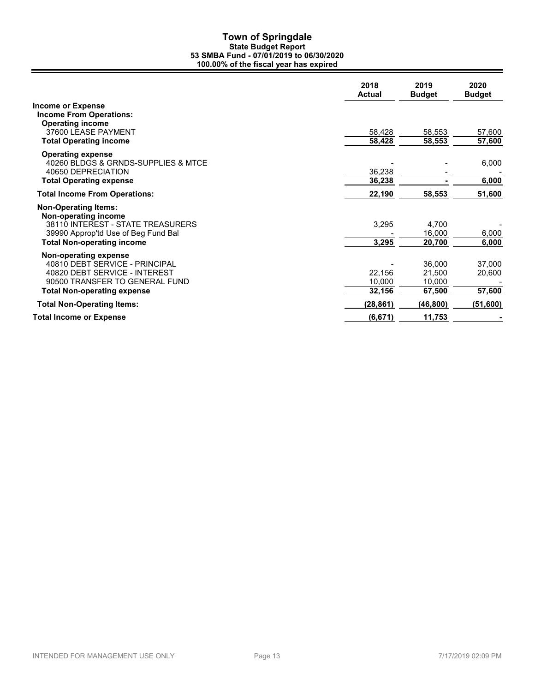|                                                     | 2018<br><b>Actual</b> | 2019<br><b>Budget</b> | 2020<br><b>Budget</b> |
|-----------------------------------------------------|-----------------------|-----------------------|-----------------------|
| <b>Income or Expense</b>                            |                       |                       |                       |
| <b>Income From Operations:</b>                      |                       |                       |                       |
| <b>Operating income</b>                             |                       |                       |                       |
| 37600 LEASE PAYMENT                                 | 58,428                | 58,553                | 57,600                |
| <b>Total Operating income</b>                       | 58,428                | 58,553                | 57,600                |
| <b>Operating expense</b>                            |                       |                       |                       |
| 40260 BLDGS & GRNDS-SUPPLIES & MTCE                 |                       |                       | 6,000                 |
| 40650 DEPRECIATION                                  | 36,238                |                       |                       |
| <b>Total Operating expense</b>                      | 36,238                |                       | 6,000                 |
| <b>Total Income From Operations:</b>                | 22,190                | 58,553                | 51,600                |
| <b>Non-Operating Items:</b><br>Non-operating income |                       |                       |                       |
| 38110 INTEREST - STATE TREASURERS                   | 3,295                 | 4,700                 |                       |
| 39990 Approp'td Use of Beg Fund Bal                 |                       | 16,000                | 6,000                 |
| <b>Total Non-operating income</b>                   | 3,295                 | 20,700                | 6,000                 |
| Non-operating expense                               |                       |                       |                       |
| 40810 DEBT SERVICE - PRINCIPAL                      |                       | 36,000                | 37,000                |
| 40820 DEBT SERVICE - INTEREST                       | 22,156                | 21,500                | 20,600                |
| 90500 TRANSFER TO GENERAL FUND                      | 10,000                | 10,000                |                       |
| <b>Total Non-operating expense</b>                  | 32,156                | 67,500                | 57,600                |
| <b>Total Non-Operating Items:</b>                   | (28, 861)             | (46,800)              | (51,600)              |
| <b>Total Income or Expense</b>                      | (6, 671)              | 11,753                |                       |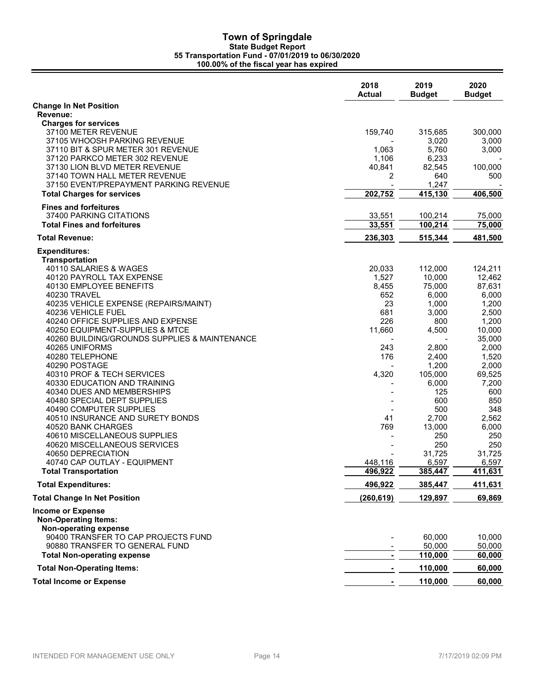|                                                         | 2018<br><b>Actual</b> | 2019<br><b>Budget</b> | 2020<br><b>Budget</b> |
|---------------------------------------------------------|-----------------------|-----------------------|-----------------------|
| <b>Change In Net Position</b>                           |                       |                       |                       |
| Revenue:                                                |                       |                       |                       |
| <b>Charges for services</b><br>37100 METER REVENUE      | 159,740               | 315,685               | 300,000               |
| 37105 WHOOSH PARKING REVENUE                            |                       | 3,020                 | 3,000                 |
| 37110 BIT & SPUR METER 301 REVENUE                      | 1,063                 | 5,760                 | 3,000                 |
| 37120 PARKCO METER 302 REVENUE                          | 1,106                 | 6,233                 |                       |
| 37130 LION BLVD METER REVENUE                           | 40,841                | 82,545                | 100,000               |
| 37140 TOWN HALL METER REVENUE                           | 2                     | 640                   | 500                   |
| 37150 EVENT/PREPAYMENT PARKING REVENUE                  |                       | 1,247                 |                       |
| <b>Total Charges for services</b>                       | 202,752               | 415,130               | 406,500               |
| <b>Fines and forfeitures</b>                            |                       |                       |                       |
| 37400 PARKING CITATIONS                                 | 33,551                | 100,214               | 75,000                |
| <b>Total Fines and forfeitures</b>                      | 33,551                | 100,214               | 75,000                |
| <b>Total Revenue:</b>                                   | 236,303               | 515,344               | 481,500               |
| <b>Expenditures:</b>                                    |                       |                       |                       |
| <b>Transportation</b>                                   |                       |                       |                       |
| 40110 SALARIES & WAGES                                  | 20,033                | 112,000               | 124,211               |
| 40120 PAYROLL TAX EXPENSE                               | 1,527                 | 10,000                | 12,462                |
| 40130 EMPLOYEE BENEFITS                                 | 8,455                 | 75,000                | 87,631                |
| 40230 TRAVEL                                            | 652                   | 6,000                 | 6,000                 |
| 40235 VEHICLE EXPENSE (REPAIRS/MAINT)                   | 23                    | 1,000                 | 1,200                 |
| 40236 VEHICLE FUEL<br>40240 OFFICE SUPPLIES AND EXPENSE | 681<br>226            | 3,000<br>800          | 2,500<br>1,200        |
| 40250 EQUIPMENT-SUPPLIES & MTCE                         | 11,660                | 4,500                 | 10,000                |
| 40260 BUILDING/GROUNDS SUPPLIES & MAINTENANCE           |                       |                       | 35,000                |
| 40265 UNIFORMS                                          | 243                   | 2,800                 | 2,000                 |
| 40280 TELEPHONE                                         | 176                   | 2,400                 | 1,520                 |
| 40290 POSTAGE                                           |                       | 1,200                 | 2,000                 |
| 40310 PROF & TECH SERVICES                              | 4,320                 | 105,000               | 69,525                |
| 40330 EDUCATION AND TRAINING                            |                       | 6,000                 | 7,200                 |
| 40340 DUES AND MEMBERSHIPS                              |                       | 125                   | 600                   |
| 40480 SPECIAL DEPT SUPPLIES                             |                       | 600                   | 850                   |
| 40490 COMPUTER SUPPLIES                                 |                       | 500                   | 348                   |
| 40510 INSURANCE AND SURETY BONDS<br>40520 BANK CHARGES  | 41                    | 2,700                 | 2,562                 |
| 40610 MISCELLANEOUS SUPPLIES                            | 769                   | 13,000<br>250         | 6,000<br>250          |
| 40620 MISCELLANEOUS SERVICES                            |                       | 250                   | 250                   |
| 40650 DEPRECIATION                                      |                       | 31,725                | 31,725                |
| 40740 CAP OUTLAY - EQUIPMENT                            | 448,116               | 6,597                 | 6,597                 |
| <b>Total Transportation</b>                             | 496,922               | 385,447               | 411,631               |
| <b>Total Expenditures:</b>                              | 496,922               | 385,447               | 411,631               |
| <b>Total Change In Net Position</b>                     | (260, 619)            | 129,897               | 69,869                |
| <b>Income or Expense</b>                                |                       |                       |                       |
| <b>Non-Operating Items:</b>                             |                       |                       |                       |
| Non-operating expense                                   |                       |                       |                       |
| 90400 TRANSFER TO CAP PROJECTS FUND                     |                       | 60,000                | 10,000                |
| 90880 TRANSFER TO GENERAL FUND                          |                       | 50,000                | 50,000                |
| <b>Total Non-operating expense</b>                      |                       | 110,000               | 60,000                |
| <b>Total Non-Operating Items:</b>                       |                       | 110,000               | 60,000                |
| <b>Total Income or Expense</b>                          |                       | 110,000               | 60,000                |